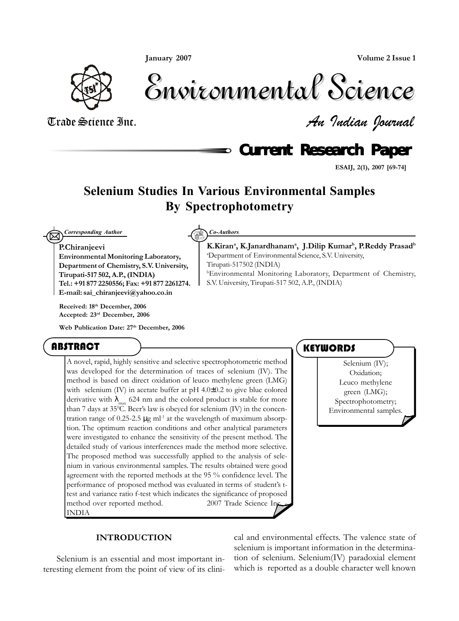*January 2007*

*Volume 2 Issue 1*



Environmental Science Environmental Science

Trade Science Inc. *An Indian Journal*

**Current Research Paper** 

*K.Kirana , K.Janardhanama , J.Dilip Kumarb , P.Reddy Prasadb*

b Environmental Monitoring Laboratory, Department of Chemistry,

a Department of Environmental Science, S.V. University,

S.V. University, Tirupati-517 502, A.P., (INDIA)

*ESAIJ, 2(1), 2007 [69-74]*

# **Selenium Studies In Various Environmental Samples By Spectrophotometry**

Tirupati-517502 (INDIA)

 $\boxtimes$ *Corresponding Author Co-Authors*

*P.Chiranjeevi*

*Environmental Monitoring Laboratory, Department of Chemistry, S.V. University, Tirupati-517 502, A.P., (INDIA) Tel.: +91 877 2250556; Fax: +91 877 2261274. E-mail: sai\_chiranjeevi@yahoo.co.in*

*Received: 18th December, 2006 Accepted: 23rd December, 2006*

*Web Publication Date: 27th December, 2006*

# ABSTRACT

A novel, rapid, highly sensitive and selective spectrophotometric method was developed for the determination of traces of selenium (IV). The method is based on direct oxidation of leuco methylene green (LMG) with selenium (IV) in acetate buffer at pH 4.0±0.2 to give blue colored derivative with  $\lambda_{\text{max}}$  624 nm and the colored product is stable for more than 7 days at 35°C. Beer's law is obeyed for selenium (IV) in the concentration range of  $0.25$ -2.5  $\mu$ g ml<sup>-1</sup> at the wavelength of maximum absorption. The optimum reaction conditions and other analytical parameters were investigated to enhance the sensitivity of the present method. The detailed study of various interferences made the method more selective. The proposed method was successfully applied to the analysis of selenium in various environmental samples. The results obtained were good agreement with the reported methods at the 95 % confidence level. The performance of proposed method was evaluated in terms of student's ttest and variance ratio f-test which indicates the significance of proposed method over reported method.  $\degree$  2007 Trade Science In INDIA

# **KEYWORDS**

Selenium (IV); Oxidation; Leuco methylene green (LMG); Spectrophotometry; Environmental samples.

#### *INTRODUCTION*

Selenium is an essential and most important interesting element from the point of view of its clinical and environmental effects. The valence state of selenium is important information in the determination of selenium. Selenium(IV) paradoxial element which is reported as a double character well known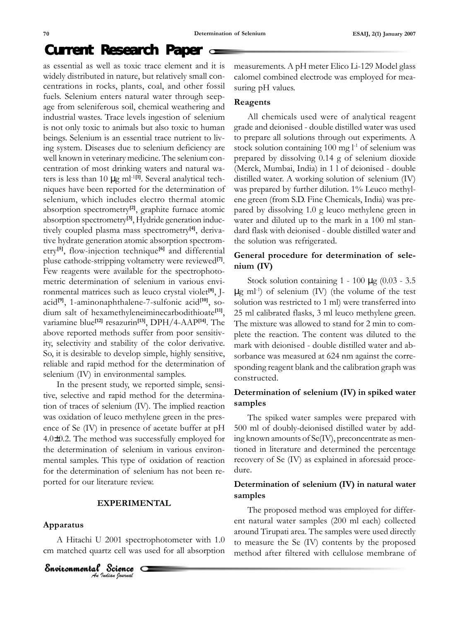# **Current Research Paper**

as essential as well as toxic trace element and it is widely distributed in nature, but relatively small concentrations in rocks, plants, coal, and other fossil fuels. Selenium enters natural water through seepage from seleniferous soil, chemical weathering and industrial wastes. Trace levels ingestion of selenium is not only toxic to animals but also toxic to human beings. Selenium is an essential trace nutrient to living system. Diseases due to selenium deficiency are well known in veterinary medicine. The selenium concentration of most drinking waters and natural waters is less than 10 µg ml-1*[1]*. Several analytical techniques have been reported for the determination of selenium, which includes electro thermal atomic absorption spectrometry*[2]*, graphite furnace atomic absorption spectrometry*[3]*, Hydride generation inductively coupled plasma mass spectrometry*[4]*, derivative hydrate generation atomic absorption spectrometry*[5]*, flow-injection technique*[6]* and differential pluse cathode-stripping voltametry were reviewed*[7]*. Few reagents were available for the spectrophotometric determination of selenium in various environmental matrices such as leuco crystal violet*[8]*, Jacid*[9]*, 1-aminonaphthalene-7-sulfonic acid*[10]*, sodium salt of hexamethyleneiminecarbodithioate*[11]*, variamine blue*[12]* resazurin*[13]*, DPH/4-AAP*[14]*. The above reported methods suffer from poor sensitivity, selectivity and stability of the color derivative. So, it is desirable to develop simple, highly sensitive, reliable and rapid method for the determination of selenium (IV) in environmental samples.

In the present study, we reported simple, sensitive, selective and rapid method for the determination of traces of selenium (IV). The implied reaction was oxidation of leuco methylene green in the presence of Se (IV) in presence of acetate buffer at pH 4.0±0.2. The method was successfully employed for the determination of selenium in various environmental samples. This type of oxidation of reaction for the determination of selenium has not been reported for our literature review.

### *EXPERIMENTAL*

#### *Apparatus*

A Hitachi U 2001 spectrophotometer with 1.0 cm matched quartz cell was used for all absorption

**Environmental Science**<br>An Indian Journal O measurements. A pH meter Elico Li-129 Model glass calomel combined electrode was employed for measuring pH values.

#### *Reagents*

All chemicals used were of analytical reagent grade and deionised - double distilled water was used to prepare all solutions through out experiments. A stock solution containing  $100$  mg  $l<sup>-1</sup>$  of selenium was prepared by dissolving 0.14 g of selenium dioxide (Merck, Mumbai, India) in 1 l of deionised - double distilled water. A working solution of selenium (IV) was prepared by further dilution. 1% Leuco methylene green (from S.D. Fine Chemicals, India) was prepared by dissolving 1.0 g leuco methylene green in water and diluted up to the mark in a 100 ml standard flask with deionised - double distilled water and the solution was refrigerated.

## *General procedure for determination of selenium (IV)*

Stock solution containing  $1 - 100 \mu$ g (0.03 - 3.5  $\mu$ g ml<sup>-1</sup>) of selenium (IV) (the volume of the test solution was restricted to 1 ml) were transferred into 25 ml calibrated flasks, 3 ml leuco methylene green. The mixture was allowed to stand for 2 min to complete the reaction. The content was diluted to the mark with deionised - double distilled water and absorbance was measured at 624 nm against the corresponding reagent blank and the calibration graph was constructed.

# *Determination of selenium (IV) in spiked water samples*

The spiked water samples were prepared with 500 ml of doubly-deionised distilled water by adding known amounts of Se(IV), preconcentrate as mentioned in literature and determined the percentage recovery of Se (IV) as explained in aforesaid procedure.

# *Determination of selenium (IV) in natural water samples*

The proposed method was employed for different natural water samples (200 ml each) collected around Tirupati area. The samples were used directly to measure the Se (IV) contents by the proposed method after filtered with cellulose membrane of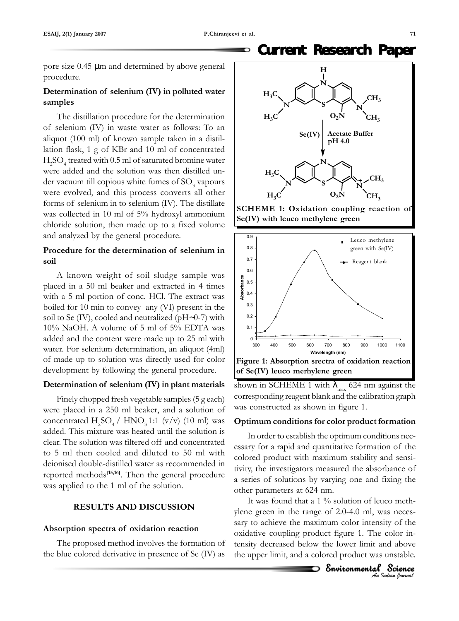#### **Current Research Paper** Đ

pore size 0.45 µm and determined by above general procedure.

# *Determination of selenium (IV) in polluted water samples*

The distillation procedure for the determination of selenium (IV) in waste water as follows: To an aliquot (100 ml) of known sample taken in a distillation flask, 1 g of KBr and 10 ml of concentrated  $\rm H_2SO_4$  treated with 0.5 ml of saturated bromine water were added and the solution was then distilled under vacuum till copious white fumes of  $\mathrm{SO}_3$  vapours were evolved, and this process converts all other forms of selenium in to selenium (IV). The distillate was collected in 10 ml of 5% hydroxyl ammonium chloride solution, then made up to a fixed volume and analyzed by the general procedure.

# *Procedure for the determination of selenium in soil*

A known weight of soil sludge sample was placed in a 50 ml beaker and extracted in 4 times with a 5 ml portion of conc. HCl. The extract was boiled for 10 min to convey any (VI) present in the soil to Se (IV), cooled and neutralized (pH∼0-7) with 10% NaOH. A volume of 5 ml of 5% EDTA was added and the content were made up to 25 ml with water. For selenium determination, an aliquot (4ml) of made up to solution was directly used for color development by following the general procedure.

# *Determination of selenium (IV) in plant materials*

Finely chopped fresh vegetable samples (5 g each) were placed in a 250 ml beaker, and a solution of concentrated  $H_2SO_4/HNO_3$  1:1 (v/v) (10 ml) was added. This mixture was heated until the solution is clear. The solution was filtered off and concentrated to 5 ml then cooled and diluted to 50 ml with deionised double-distilled water as recommended in reported methods*[15,16]*. Then the general procedure was applied to the 1 ml of the solution.

# *RESULTS AND DISCUSSION*

# *Absorption spectra of oxidation reaction*

The proposed method involves the formation of the blue colored derivative in presence of Se (IV) as







shown in SCHEME 1 with  $\lambda_{\text{max}}$  624 nm against the corresponding reagent blank and the calibration graph was constructed as shown in figure 1.

# *Optimum conditions for color product formation*

In order to establish the optimum conditions necessary for a rapid and quantitative formation of the colored product with maximum stability and sensitivity, the investigators measured the absorbance of a series of solutions by varying one and fixing the other parameters at 624 nm.

It was found that a 1 % solution of leuco methylene green in the range of 2.0-4.0 ml, was necessary to achieve the maximum color intensity of the oxidative coupling product figure 1. The color intensity decreased below the lower limit and above the upper limit, and a colored product was unstable.

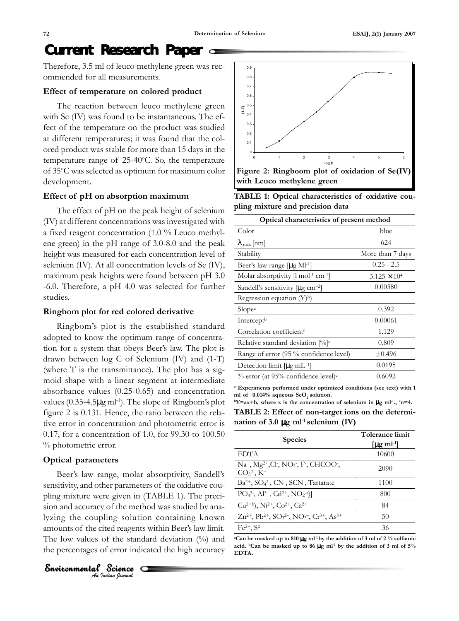# **Current Research Paper**

Therefore, 3.5 ml of leuco methylene green was recommended for all measurements.

#### *Effect of temperature on colored product*

The reaction between leuco methylene green with Se (IV) was found to be instantaneous. The effect of the temperature on the product was studied at different temperatures; it was found that the colored product was stable for more than 15 days in the temperature range of 25-40°C. So, the temperature of 35°C was selected as optimum for maximum color development.

#### *Effect of pH on absorption maximum*

The effect of pH on the peak height of selenium (IV) at different concentrations was investigated with a fixed reagent concentration (1.0 % Leuco methylene green) in the pH range of 3.0-8.0 and the peak height was measured for each concentration level of selenium (IV). At all concentration levels of Se (IV), maximum peak heights were found between pH 3.0 -6.0. Therefore, a pH 4.0 was selected for further studies.

#### *Ringbom plot for red colored derivative*

Ringbom's plot is the established standard adopted to know the optimum range of concentration for a system that obeys Beer's law. The plot is drawn between log C of Selenium (IV) and (1-T) (where T is the transmittance). The plot has a sigmoid shape with a linear segment at intermediate absorbance values (0.25-0.65) and concentration values  $(0.35-4.5\mu g \text{ ml}^{-1})$ . The slope of Ringbom's plot figure 2 is 0.131. Hence, the ratio between the relative error in concentration and photometric error is 0.17, for a concentration of 1.0, for 99.30 to 100.50 % photometric error.

### *Optical parameters*

Beer's law range, molar absorptivity, Sandell's sensitivity, and other parameters of the oxidative coupling mixture were given in (TABLE 1). The precision and accuracy of the method was studied by analyzing the coupling solution containing known amounts of the cited reagents within Beer's law limit. The low values of the standard deviation  $(\%)$  and the percentages of error indicated the high accuracy



0.1 0.2 0.3 0.4 0.5 0.6 0.7 0.8 0.9 0123456 **log C (1-T)** *Figure 2: Ringboom plot of oxidation of Se(IV) with Leuco methylene green*

*TABLE 1: Optical characteristics of oxidative coupling mixture and precision data*

| Optical characteristics of present method                            |                       |  |  |  |
|----------------------------------------------------------------------|-----------------------|--|--|--|
| Color                                                                | blue                  |  |  |  |
| $\lambda_{\text{max}}$ [nm]                                          | 624                   |  |  |  |
| Stability                                                            | More than 7 days      |  |  |  |
| Beer's law range $[\mu g \ M]^{-1}]$                                 | $0.25 - 2.5$          |  |  |  |
| Molar absorptivity $\left[1 \text{ mol}^{-1} \text{ cm}^{-1}\right]$ | $3.125 \times 10^{4}$ |  |  |  |
| Sandell's sensitivity $[\mu g \text{ cm}^{-2}]$                      | 0.00380               |  |  |  |
| Regression equation $(Y)^b$ )                                        |                       |  |  |  |
| Slope <sup>a</sup>                                                   | 0.392                 |  |  |  |
| Intercept <sup>b</sup>                                               | 0.00061               |  |  |  |
| Correlation coefficient <sup>r</sup>                                 | 1.129                 |  |  |  |
| Relative standard deviation $[\%]$ <sup>c</sup>                      | 0.809                 |  |  |  |
| Range of error (95 % confidence level)                               | ±0.496                |  |  |  |
| Detection limit $[\mu g \; \text{mL}^{-1}]$                          | 0.0195                |  |  |  |
| % error (at 95% confidence level) <sup>c</sup>                       | 0.6092                |  |  |  |
|                                                                      |                       |  |  |  |

*a Experiments performed under optimized conditions (see text) with 1 ml of 0.014% aqueous SeO<sub>2</sub> solution. b*<sup>1</sup> selenium in  $\mu$ g ml<sup>-1</sup>, <sup>c</sup>n=4.

*TABLE 2: Effect of non-target ions on the determination of 3.0* µ*g ml-1 selenium (IV)*

| <b>Species</b>                                                                                                                    | Tolerance limit<br>$[\mu$ g m $]$ <sup>1</sup> |
|-----------------------------------------------------------------------------------------------------------------------------------|------------------------------------------------|
| <b>EDTA</b>                                                                                                                       | 10600                                          |
| $Na+, Mg2+, Cl2, NO3, F, CHCOO2$<br>$CO32$ , K <sup>+</sup>                                                                       | 2090                                           |
| $Ba^{2+}$ , $SO_4^{2-}$ , $CN^-$ , $SCN^-$ , Tartarate                                                                            | 1100                                           |
| $PO_4^3$ , Al <sup>3+</sup> , Cd <sup>2+</sup> , NO <sub>2</sub> <sup>-a</sup> )]                                                 | 800                                            |
| $Cu^{2+b}$ , Ni <sup>2+</sup> , Co <sup>2+</sup> , Ca <sup>2+</sup>                                                               | 84                                             |
| $Zn^{2+}$ , Pb <sup>2+</sup> , SO <sub>3</sub> <sup>2-</sup> , NO <sub>3</sub> <sup>-</sup> , Cr <sup>3+</sup> , As <sup>5+</sup> | 50                                             |
| $Fe2+, S2-$                                                                                                                       | 36                                             |

*a Can be masked up to 810* µ*g ml-1 by the addition of 3 ml of 2 % sulfamic acid. b Can be masked up to 86* µ*g ml-1 by the addition of 3 ml of 5% EDTA.*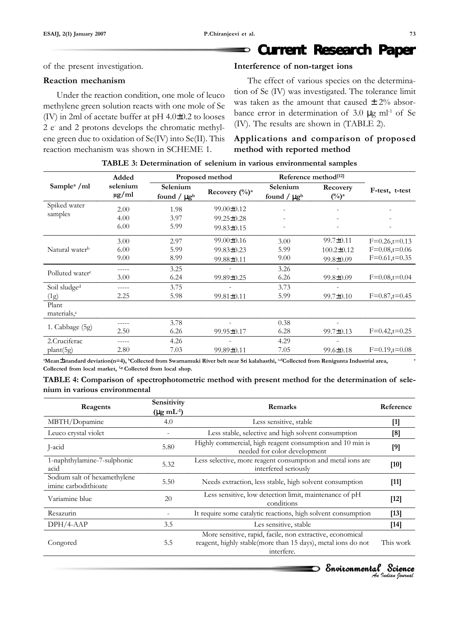#### **Current Research Paper** Đ

of the present investigation.

#### *Reaction mechanism*

Under the reaction condition, one mole of leuco methylene green solution reacts with one mole of Se (IV) in 2ml of acetate buffer at pH 4.0±0.2 to looses 2 e- and 2 protons develops the chromatic methylene green due to oxidation of Se(IV) into Se(II). This reaction mechanism was shown in SCHEME 1.

#### *Interference of non-target ions*

The effect of various species on the determination of Se (IV) was investigated. The tolerance limit was taken as the amount that caused  $\pm$  2% absorbance error in determination of 3.0  $\mu$ g ml<sup>-1</sup> of Se (IV). The results are shown in (TABLE 2).

# *Applications and comparison of proposed method with reported method*

|                                         | Added                  | Proposed method                          |                                                          | Reference method <sup>[12]</sup>         |                                                        |                                                       |
|-----------------------------------------|------------------------|------------------------------------------|----------------------------------------------------------|------------------------------------------|--------------------------------------------------------|-------------------------------------------------------|
| Sample <sup>a</sup> /ml                 | selenium<br>$\mu$ g/ml | Selenium<br>found / $\mu$ g <sup>b</sup> | Recovery $(\frac{0}{0})^a$                               | Selenium<br>found / $\mu$ g <sup>b</sup> | Recovery<br>$(\%)^a$                                   | F-test, t-test                                        |
| Spiked water<br>samples                 | 2.00<br>4.00<br>6.00   | 1.98<br>3.97<br>5.99                     | $99.00 \pm 0.12$<br>$99.25 \pm 0.28$<br>$99.83 \pm 0.15$ | $\overline{\phantom{a}}$                 |                                                        |                                                       |
| Natural water <sup>b</sup>              | 3.00<br>6.00<br>9.00   | 2.97<br>5.99<br>8.99                     | 99.00±0.16<br>$99.83 \pm 0.23$<br>99.88±0.11             | 3.00<br>5.99<br>9.00                     | $99.7 \pm 0.11$<br>$100.2 \pm 0.12$<br>$99.8 \pm 0.09$ | $F=0.26,t=0.13$<br>$F=0.08,t=0.06$<br>$F=0.61,t=0.35$ |
| Polluted water <sup>c</sup>             | 3.00                   | 3.25<br>6.24                             | 99.89±0.25                                               | 3.26<br>6.26                             | $99.8 \pm 0.09$                                        | $F=0.08,t=0.04$                                       |
| Soil sludge <sup>d</sup><br>(1g)        | 2.25                   | 3.75<br>5.98                             | $99.81 \pm 0.11$                                         | 3.73<br>5.99                             | $99.7 \pm 0.10$                                        | $F=0.87, t=0.45$                                      |
| Plant<br>materials, <sup>e</sup>        |                        |                                          |                                                          |                                          |                                                        |                                                       |
| 1. Cabbage (5g)                         | 2.50                   | 3.78<br>6.26                             | 99.95±0.17                                               | 0.38<br>6.28                             | $99.7 \pm 0.13$                                        | $F=0.42, t=0.25$                                      |
| 2. Cruciferac<br>plan <sub>t</sub> (5g) | 2.80                   | 4.26<br>7.03                             | ٠<br>99.89±0.11                                          | 4.29<br>7.05                             | $99.6 \pm 0.18$                                        | $F=0.19$ ,t=0.08                                      |

#### *TABLE 3: Determination of selenium in various environmental samples*

a Mean $\pm$ standard deviation(n=4), <sup>b</sup>Collected from Swarnamuki River belt near Sri kalahasthi, <sup>c,d</sup>Collected from Renigunta Industrial area,  $\qquad$ Collected from local market, <sup>f,g</sup> Collected from local shop.

|                               | TABLE 4: Comparison of spectrophotometric method with present method for the determination of sele- |  |  |
|-------------------------------|-----------------------------------------------------------------------------------------------------|--|--|
| nium in various environmental |                                                                                                     |  |  |

| Reagents                                             | Sensitivity<br>$(\mu g \text{ mL}^{-1})$ | <b>Remarks</b>                                                                                                                          | Reference |
|------------------------------------------------------|------------------------------------------|-----------------------------------------------------------------------------------------------------------------------------------------|-----------|
| MBTH/Dopamine                                        | 4.0                                      | Less sensitive, stable                                                                                                                  | $[1]$     |
| Leuco crystal violet                                 |                                          | Less stable, selective and high solvent consumption                                                                                     | [8]       |
| J-acid                                               | 5.80                                     | Highly commercial, high reagent consumption and 10 min is<br>needed for color development                                               | [9]       |
| 1-naphthylamine-7-sulphonic<br>acid                  | 5.32                                     | Less selective, more reagent consumption and metal ions are<br>interfered seriously                                                     | $[10]$    |
| Sodium salt of hexamethylene<br>imine carbodithioate | 5.50                                     | Needs extraction, less stable, high solvent consumption                                                                                 | $[11]$    |
| Variamine blue                                       | 20                                       | Less sensitive, low detection limit, maintenance of pH<br>conditions                                                                    | $[12]$    |
| Resazurin                                            |                                          | It require some catalytic reactions, high solvent consumption                                                                           | $[13]$    |
| $DPH/4-AAP$                                          | 3.5                                      | Les sensitive, stable                                                                                                                   | $[14]$    |
| Congored                                             | 5.5                                      | More sensitive, rapid, facile, non extractive, economical<br>reagent, highly stable(more than 15 days), metal ions do not<br>interfere. | This work |

*An Indian Journal* Environmental Science Science Environmental Science